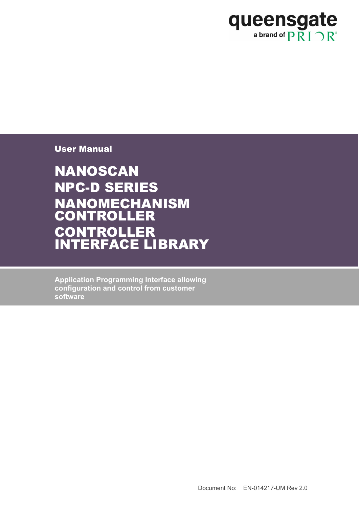

User Manual

NANOSCAN NPC-D SERIES NANOMECHANISM CONTROLLER **CONTROLLER** INTERFACE LIBRARY

**Application Programming Interface allowing configuration and control from customer software**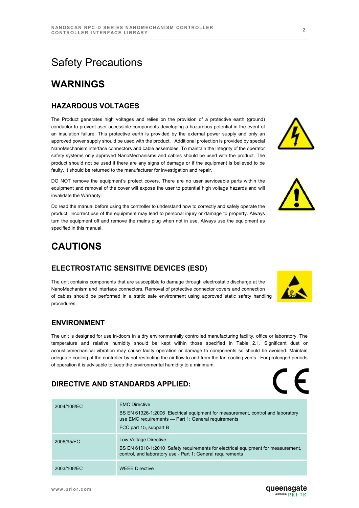# Safety Precautions

## **WARNINGS**

#### **HAZARDOUS VOLTAGES**

The Product generates high voltages and relies on the provision of a protective earth (ground) conductor to prevent user accessible components developing a hazardous potential in the event of an insulation failure. This protective earth is provided by the external power supply and only an approved power supply should be used with the product. Additional protection is provided by special NanoMechanism interface connectors and cable assembles. To maintain the integrity of the operator safety systems only approved NanoMechanisms and cables should be used with the product. The product should not be used if there are any signs of damage or if the equipment is believed to be faulty. It should be returned to the manufacturer for investigation and repair.

DO NOT remove the equipment's protect covers. There are no user serviceable parts within the equipment and removal of the cover will expose the user to potential high voltage hazards and will invalidate the Warranty.

Do read the manual before using the controller to understand how to correctly and safely operate the product. Incorrect use of the equipment may lead to personal injury or damage to property. Always turn the equipment off and remove the mains plug when not in use. Always use the equipment as specified in this manual.

## **CAUTIONS**

#### **ELECTROSTATIC SENSITIVE DEVICES (ESD)**

The unit contains components that are susceptible to damage through electrostatic discharge at the NanoMechanism and interface connectors. Removal of protective connector covers and connection of cables should be performed in a static safe environment using approved static safety handling procedures.

#### **ENVIRONMENT**

The unit is designed for use in-doors in a dry environmentally controlled manufacturing facility, office or laboratory. The temperature and relative humidity should be kept within those specified in Table 2.1. Significant dust or acoustic/mechanical vibration may cause faulty operation or damage to components so should be avoided. Maintain adequate cooling of the controller by not restricting the air flow to and from the fan cooling vents. For prolonged periods of operation it is advisable to keep the environmental humidity to a minimum.

#### **DIRECTIVE AND STANDARDS APPLIED:**

| 2004/108/EC | <b>EMC Directive</b><br>BS EN 61326-1:2006 Electrical equipment for measurement, control and laboratory<br>use EMC requirements - Part 1: General requirements<br>FCC part 15, subpart B |
|-------------|------------------------------------------------------------------------------------------------------------------------------------------------------------------------------------------|
| 2006/95/EC  | Low Voltage Directive<br>BS EN 61010-1:2010 Safety requirements for electrical equipment for measurement,<br>control, and laboratory use - Part 1: General requirements                  |
| 2003/108/EC | <b>WEEE Directive</b>                                                                                                                                                                    |



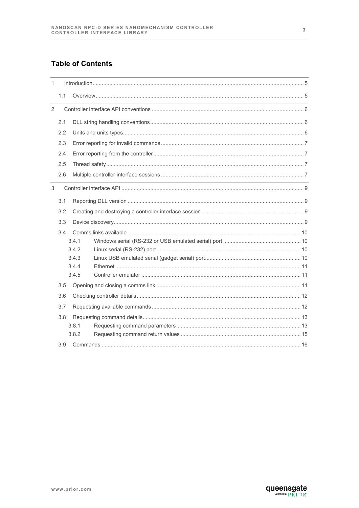#### **Table of Contents**

| $\mathbf{1}$   |                       |                                                                                                                  |  |  |  |  |  |
|----------------|-----------------------|------------------------------------------------------------------------------------------------------------------|--|--|--|--|--|
|                | 1.1                   |                                                                                                                  |  |  |  |  |  |
| $\overline{2}$ |                       |                                                                                                                  |  |  |  |  |  |
|                | 2.1                   |                                                                                                                  |  |  |  |  |  |
|                | 2.2                   |                                                                                                                  |  |  |  |  |  |
|                | 2.3                   |                                                                                                                  |  |  |  |  |  |
|                | 2.4                   |                                                                                                                  |  |  |  |  |  |
|                | 2.5                   |                                                                                                                  |  |  |  |  |  |
|                | 2.6                   |                                                                                                                  |  |  |  |  |  |
| 3              |                       | and the control of the control of the control of the control of the control of the control of the control of the |  |  |  |  |  |
|                | 3.1                   |                                                                                                                  |  |  |  |  |  |
|                | 3.2                   |                                                                                                                  |  |  |  |  |  |
|                | 3.3                   |                                                                                                                  |  |  |  |  |  |
|                | 3.4<br>3.4.1<br>3.4.2 |                                                                                                                  |  |  |  |  |  |
|                |                       | 3.4.3                                                                                                            |  |  |  |  |  |
|                |                       | 3.4.4<br>3.4.5                                                                                                   |  |  |  |  |  |
| 3.5            |                       |                                                                                                                  |  |  |  |  |  |
|                | 3.6                   |                                                                                                                  |  |  |  |  |  |
|                | 3.7                   |                                                                                                                  |  |  |  |  |  |
|                | 3.8                   | 3.8.1<br>3.8.2                                                                                                   |  |  |  |  |  |
|                | 3.9                   |                                                                                                                  |  |  |  |  |  |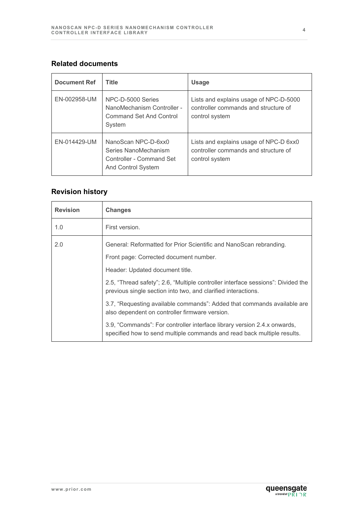#### **Related documents**

| <b>Document Ref</b> | <b>Title</b>                                                                                  | <b>Usage</b>                                                                                     |
|---------------------|-----------------------------------------------------------------------------------------------|--------------------------------------------------------------------------------------------------|
| EN-002958-UM        | NPC-D-5000 Series<br>NanoMechanism Controller -<br><b>Command Set And Control</b><br>System   | Lists and explains usage of NPC-D-5000<br>controller commands and structure of<br>control system |
| EN-014429-UM        | NanoScan NPC-D-6xx0<br>Series NanoMechanism<br>Controller - Command Set<br>And Control System | Lists and explains usage of NPC-D 6xx0<br>controller commands and structure of<br>control system |

## **Revision history**

| <b>Revision</b> | <b>Changes</b>                                                                                                                                      |
|-----------------|-----------------------------------------------------------------------------------------------------------------------------------------------------|
| 1.0             | First version.                                                                                                                                      |
| 2.0             | General: Reformatted for Prior Scientific and NanoScan rebranding.                                                                                  |
|                 | Front page: Corrected document number.                                                                                                              |
|                 | Header: Updated document title.                                                                                                                     |
|                 | 2.5, "Thread safety"; 2.6, "Multiple controller interface sessions": Divided the<br>previous single section into two, and clarified interactions.   |
|                 | 3.7, "Requesting available commands": Added that commands available are<br>also dependent on controller firmware version.                           |
|                 | 3.9, "Commands": For controller interface library version 2.4.x onwards,<br>specified how to send multiple commands and read back multiple results. |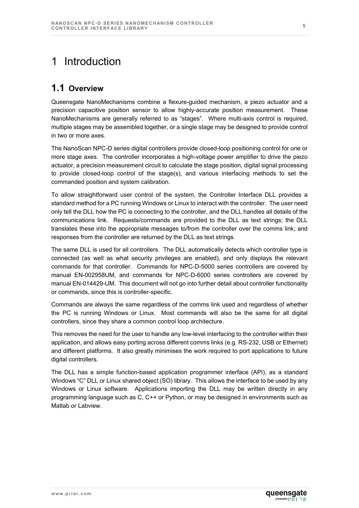# <span id="page-4-0"></span>1 Introduction

## <span id="page-4-1"></span>**1.1 Overview**

Queensgate NanoMechanisms combine a flexure-guided mechanism, a piezo actuator and a precision capacitive position sensor to allow highly-accurate position measurement. These NanoMechanisms are generally referred to as "stages". Where multi-axis control is required, multiple stages may be assembled together, or a single stage may be designed to provide control in two or more axes.

The NanoScan NPC-D series digital controllers provide closed-loop positioning control for one or more stage axes. The controller incorporates a high-voltage power amplifier to drive the piezo actuator, a precision measurement circuit to calculate the stage position, digital signal processing to provide closed-loop control of the stage(s), and various interfacing methods to set the commanded position and system calibration.

To allow straightforward user control of the system, the Controller Interface DLL provides a standard method for a PC running Windows or Linux to interact with the controller. The user need only tell the DLL how the PC is connecting to the controller, and the DLL handles all details of the communications link. Requests/commands are provided to the DLL as text strings; the DLL translates these into the appropriate messages to/from the controller over the comms link; and responses from the controller are returned by the DLL as text strings.

The same DLL is used for all controllers. The DLL automatically detects which controller type is connected (as well as what security privileges are enabled), and only displays the relevant commands for that controller. Commands for NPC-D-5000 series controllers are covered by manual EN-002958UM, and commands for NPC-D-6000 series controllers are covered by manual EN-014429-UM. This document will not go into further detail about controller functionality or commands, since this is controller-specific.

Commands are always the same regardless of the comms link used and regardless of whether the PC is running Windows or Linux. Most commands will also be the same for all digital controllers, since they share a common control loop architecture.

This removes the need for the user to handle any low-level interfacing to the controller within their application, and allows easy porting across different comms links (e.g. RS-232, USB or Ethernet) and different platforms. It also greatly minimises the work required to port applications to future digital controllers.

The DLL has a simple function-based application programmer interface (API), as a standard Windows "C" DLL or Linux shared object (SO) library. This allows the interface to be used by any Windows or Linux software. Applications importing the DLL may be written directly in any programming language such as C, C++ or Python, or may be designed in environments such as Matlab or Labview.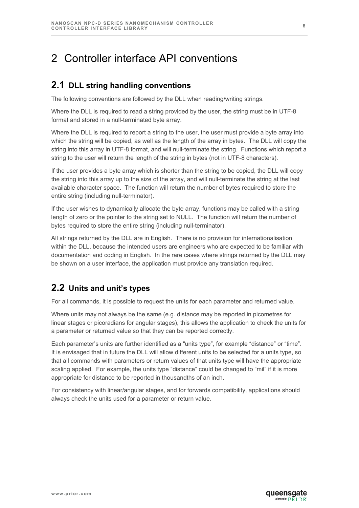# <span id="page-5-0"></span>2 Controller interface API conventions

### <span id="page-5-1"></span>**2.1 DLL string handling conventions**

The following conventions are followed by the DLL when reading/writing strings.

Where the DLL is required to read a string provided by the user, the string must be in UTF-8 format and stored in a null-terminated byte array.

Where the DLL is required to report a string to the user, the user must provide a byte array into which the string will be copied, as well as the length of the array in bytes. The DLL will copy the string into this array in UTF-8 format, and will null-terminate the string. Functions which report a string to the user will return the length of the string in bytes (not in UTF-8 characters).

If the user provides a byte array which is shorter than the string to be copied, the DLL will copy the string into this array up to the size of the array, and will null-terminate the string at the last available character space. The function will return the number of bytes required to store the entire string (including null-terminator).

If the user wishes to dynamically allocate the byte array, functions may be called with a string length of zero or the pointer to the string set to NULL. The function will return the number of bytes required to store the entire string (including null-terminator).

All strings returned by the DLL are in English. There is no provision for internationalisation within the DLL, because the intended users are engineers who are expected to be familiar with documentation and coding in English. In the rare cases where strings returned by the DLL may be shown on a user interface, the application must provide any translation required.

## <span id="page-5-2"></span>**2.2 Units and unit's types**

For all commands, it is possible to request the units for each parameter and returned value.

Where units may not always be the same (e.g. distance may be reported in picometres for linear stages or picoradians for angular stages), this allows the application to check the units for a parameter or returned value so that they can be reported correctly.

Each parameter's units are further identified as a "units type", for example "distance" or "time". It is envisaged that in future the DLL will allow different units to be selected for a units type, so that all commands with parameters or return values of that units type will have the appropriate scaling applied. For example, the units type "distance" could be changed to "mil" if it is more appropriate for distance to be reported in thousandths of an inch.

For consistency with linear/angular stages, and for forwards compatibility, applications should always check the units used for a parameter or return value.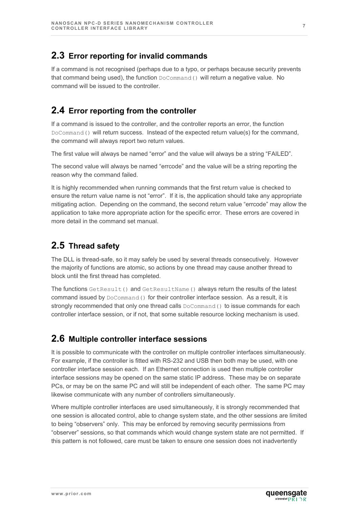### <span id="page-6-0"></span>**2.3 Error reporting for invalid commands**

If a command is not recognised (perhaps due to a typo, or perhaps because security prevents that command being used), the function DoCommand() will return a negative value. No command will be issued to the controller.

## <span id="page-6-1"></span>**2.4 Error reporting from the controller**

If a command is issued to the controller, and the controller reports an error, the function DoCommand() will return success. Instead of the expected return value(s) for the command, the command will always report two return values.

The first value will always be named "error" and the value will always be a string "FAILED".

The second value will always be named "errcode" and the value will be a string reporting the reason why the command failed.

It is highly recommended when running commands that the first return value is checked to ensure the return value name is not "error". If it is, the application should take any appropriate mitigating action. Depending on the command, the second return value "errcode" may allow the application to take more appropriate action for the specific error. These errors are covered in more detail in the command set manual.

## <span id="page-6-2"></span>**2.5 Thread safety**

The DLL is thread-safe, so it may safely be used by several threads consecutively. However the majority of functions are atomic, so actions by one thread may cause another thread to block until the first thread has completed.

The functions GetResult () and GetResultName () always return the results of the latest command issued by  $DoCommand()$  for their controller interface session. As a result, it is strongly recommended that only one thread calls DoCommand() to issue commands for each controller interface session, or if not, that some suitable resource locking mechanism is used.

## <span id="page-6-3"></span>**2.6 Multiple controller interface sessions**

It is possible to communicate with the controller on multiple controller interfaces simultaneously. For example, if the controller is fitted with RS-232 and USB then both may be used, with one controller interface session each. If an Ethernet connection is used then multiple controller interface sessions may be opened on the same static IP address. These may be on separate PCs, or may be on the same PC and will still be independent of each other. The same PC may likewise communicate with any number of controllers simultaneously.

Where multiple controller interfaces are used simultaneously, it is strongly recommended that one session is allocated control, able to change system state, and the other sessions are limited to being "observers" only. This may be enforced by removing security permissions from "observer" sessions, so that commands which would change system state are not permitted. If this pattern is not followed, care must be taken to ensure one session does not inadvertently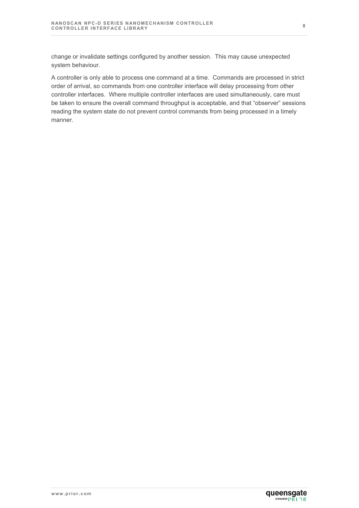change or invalidate settings configured by another session. This may cause unexpected system behaviour.

A controller is only able to process one command at a time. Commands are processed in strict order of arrival, so commands from one controller interface will delay processing from other controller interfaces. Where multiple controller interfaces are used simultaneously, care must be taken to ensure the overall command throughput is acceptable, and that "observer" sessions reading the system state do not prevent control commands from being processed in a timely manner.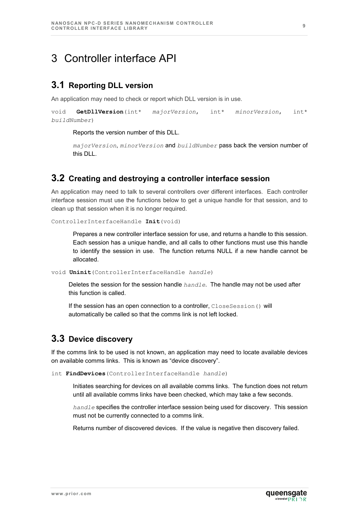## <span id="page-8-0"></span>3 Controller interface API

### <span id="page-8-1"></span>**3.1 Reporting DLL version**

An application may need to check or report which DLL version is in use.

```
void GetDllVersion(int* majorVersion, int* minorVersion, int* 
buildNumber)
```
Reports the version number of this DLL.

```
majorVersion, minorVersion and buildNumber pass back the version number of 
this DLL.
```
#### <span id="page-8-2"></span>**3.2 Creating and destroying a controller interface session**

An application may need to talk to several controllers over different interfaces. Each controller interface session must use the functions below to get a unique handle for that session, and to clean up that session when it is no longer required.

ControllerInterfaceHandle **Init**(void)

Prepares a new controller interface session for use, and returns a handle to this session. Each session has a unique handle, and all calls to other functions must use this handle to identify the session in use. The function returns NULL if a new handle cannot be allocated.

void **Uninit**(ControllerInterfaceHandle *handle*)

Deletes the session for the session handle *handle*. The handle may not be used after this function is called.

If the session has an open connection to a controller, CloseSession() will automatically be called so that the comms link is not left locked.

#### <span id="page-8-3"></span>**3.3 Device discovery**

If the comms link to be used is not known, an application may need to locate available devices on available comms links. This is known as "device discovery".

int **FindDevices**(ControllerInterfaceHandle *handle*)

Initiates searching for devices on all available comms links. The function does not return until all available comms links have been checked, which may take a few seconds.

*handle* specifies the controller interface session being used for discovery. This session must not be currently connected to a comms link.

Returns number of discovered devices. If the value is negative then discovery failed.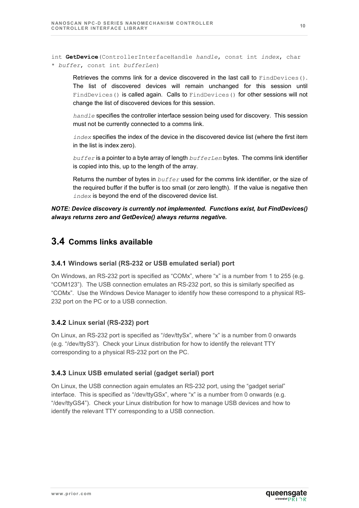int **GetDevice**(ControllerInterfaceHandle *handle*, const int *index*, char \* *buffer*, const int *bufferLen*)

Retrieves the comms link for a device discovered in the last call to FindDevices(). The list of discovered devices will remain unchanged for this session until FindDevices() is called again. Calls to FindDevices() for other sessions will not change the list of discovered devices for this session.

*handle* specifies the controller interface session being used for discovery. This session must not be currently connected to a comms link.

*index* specifies the index of the device in the discovered device list (where the first item in the list is index zero).

*buffer* is a pointer to a byte array of length *bufferLen* bytes. The comms link identifier is copied into this, up to the length of the array.

Returns the number of bytes in *buffer* used for the comms link identifier, or the size of the required buffer if the buffer is too small (or zero length). If the value is negative then *index* is beyond the end of the discovered device list.

#### *NOTE: Device discovery is currently not implemented. Functions exist, but FindDevices() always returns zero and GetDevice() always returns negative.*

### <span id="page-9-0"></span>**3.4 Comms links available**

#### <span id="page-9-1"></span>**3.4.1 Windows serial (RS-232 or USB emulated serial) port**

On Windows, an RS-232 port is specified as "COMx", where "x" is a number from 1 to 255 (e.g. "COM123"). The USB connection emulates an RS-232 port, so this is similarly specified as "COMx". Use the Windows Device Manager to identify how these correspond to a physical RS-232 port on the PC or to a USB connection.

#### <span id="page-9-2"></span>**3.4.2 Linux serial (RS-232) port**

On Linux, an RS-232 port is specified as "/dev/ttySx", where "x" is a number from 0 onwards (e.g. "/dev/ttyS3"). Check your Linux distribution for how to identify the relevant TTY corresponding to a physical RS-232 port on the PC.

#### <span id="page-9-3"></span>**3.4.3 Linux USB emulated serial (gadget serial) port**

On Linux, the USB connection again emulates an RS-232 port, using the "gadget serial" interface. This is specified as "/dev/ttyGSx", where "x" is a number from 0 onwards (e.g. "/dev/ttyGS4"). Check your Linux distribution for how to manage USB devices and how to identify the relevant TTY corresponding to a USB connection.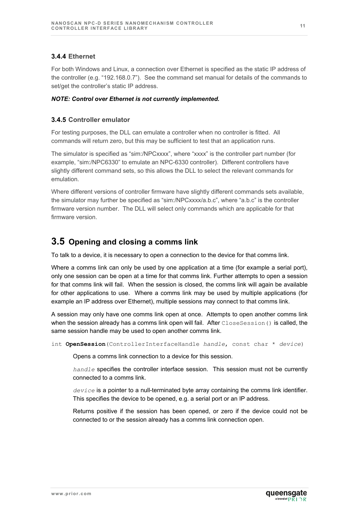#### <span id="page-10-0"></span>**3.4.4 Ethernet**

For both Windows and Linux, a connection over Ethernet is specified as the static IP address of the controller (e.g. "192.168.0.7"). See the command set manual for details of the commands to set/get the controller's static IP address.

#### *NOTE: Control over Ethernet is not currently implemented.*

#### <span id="page-10-1"></span>**3.4.5 Controller emulator**

For testing purposes, the DLL can emulate a controller when no controller is fitted. All commands will return zero, but this may be sufficient to test that an application runs.

The simulator is specified as "sim:/NPCxxxx", where "xxxx" is the controller part number (for example, "sim:/NPC6330" to emulate an NPC-6330 controller). Different controllers have slightly different command sets, so this allows the DLL to select the relevant commands for emulation.

Where different versions of controller firmware have slightly different commands sets available, the simulator may further be specified as "sim:/NPCxxxx/a.b.c", where "a.b.c" is the controller firmware version number. The DLL will select only commands which are applicable for that firmware version.

### <span id="page-10-2"></span>**3.5 Opening and closing a comms link**

To talk to a device, it is necessary to open a connection to the device for that comms link.

Where a comms link can only be used by one application at a time (for example a serial port), only one session can be open at a time for that comms link. Further attempts to open a session for that comms link will fail. When the session is closed, the comms link will again be available for other applications to use. Where a comms link may be used by multiple applications (for example an IP address over Ethernet), multiple sessions may connect to that comms link.

A session may only have one comms link open at once. Attempts to open another comms link when the session already has a comms link open will fail. After CloseSession () is called, the same session handle may be used to open another comms link.

int **OpenSession**(ControllerInterfaceHandle *handle*, const char \* *device*)

Opens a comms link connection to a device for this session.

*handle* specifies the controller interface session. This session must not be currently connected to a comms link.

*device* is a pointer to a null-terminated byte array containing the comms link identifier. This specifies the device to be opened, e.g. a serial port or an IP address.

Returns positive if the session has been opened, or zero if the device could not be connected to or the session already has a comms link connection open.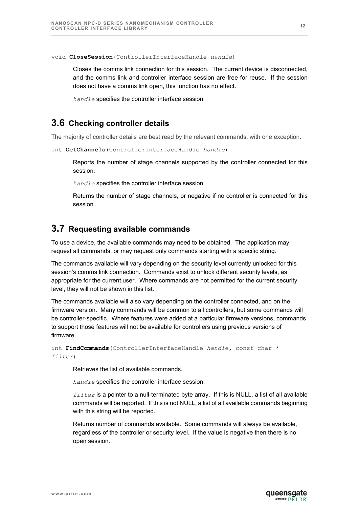void **CloseSession**(ControllerInterfaceHandle *handle*)

Closes the comms link connection for this session. The current device is disconnected, and the comms link and controller interface session are free for reuse. If the session does not have a comms link open, this function has no effect.

*handle* specifies the controller interface session.

#### <span id="page-11-0"></span>**3.6 Checking controller details**

The majority of controller details are best read by the relevant commands, with one exception.

int **GetChannels**(ControllerInterfaceHandle *handle*)

Reports the number of stage channels supported by the controller connected for this session.

*handle* specifies the controller interface session.

Returns the number of stage channels, or negative if no controller is connected for this session.

#### <span id="page-11-1"></span>**3.7 Requesting available commands**

To use a device, the available commands may need to be obtained. The application may request all commands, or may request only commands starting with a specific string.

The commands available will vary depending on the security level currently unlocked for this session's comms link connection. Commands exist to unlock different security levels, as appropriate for the current user. Where commands are not permitted for the current security level, they will not be shown in this list.

The commands available will also vary depending on the controller connected, and on the firmware version. Many commands will be common to all controllers, but some commands will be controller-specific. Where features were added at a particular firmware versions, commands to support those features will not be available for controllers using previous versions of firmware.

```
int FindCommands(ControllerInterfaceHandle handle, const char * 
filter)
```
Retrieves the list of available commands.

*handle* specifies the controller interface session.

*filter* is a pointer to a null-terminated byte array. If this is NULL, a list of all available commands will be reported. If this is not NULL, a list of all available commands beginning with this string will be reported.

Returns number of commands available. Some commands will always be available, regardless of the controller or security level. If the value is negative then there is no open session.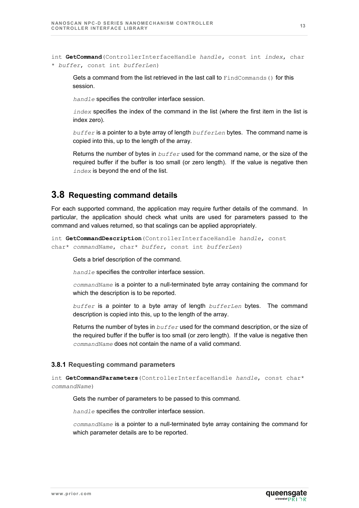int **GetCommand**(ControllerInterfaceHandle *handle,* const int *index*, char \* *buffer*, const int *bufferLen*)

Gets a command from the list retrieved in the last call to  $Findcommands() for this$ session.

*handle* specifies the controller interface session.

*index* specifies the index of the command in the list (where the first item in the list is index zero).

*buffer* is a pointer to a byte array of length *bufferLen* bytes. The command name is copied into this, up to the length of the array.

Returns the number of bytes in *buffer* used for the command name, or the size of the required buffer if the buffer is too small (or zero length). If the value is negative then *index* is beyond the end of the list.

#### <span id="page-12-0"></span>**3.8 Requesting command details**

For each supported command, the application may require further details of the command. In particular, the application should check what units are used for parameters passed to the command and values returned, so that scalings can be applied appropriately.

```
int GetCommandDescription(ControllerInterfaceHandle handle, const 
char* commandName, char* buffer, const int bufferLen)
```
Gets a brief description of the command.

*handle* specifies the controller interface session.

*commandName* is a pointer to a null-terminated byte array containing the command for which the description is to be reported.

*buffer* is a pointer to a byte array of length *bufferLen* bytes. The command description is copied into this, up to the length of the array.

Returns the number of bytes in *buffer* used for the command description, or the size of the required buffer if the buffer is too small (or zero length). If the value is negative then *commandName* does not contain the name of a valid command.

#### <span id="page-12-1"></span>**3.8.1 Requesting command parameters**

int **GetCommandParameters**(ControllerInterfaceHandle *handle*, const char\* *commandName*)

Gets the number of parameters to be passed to this command.

*handle* specifies the controller interface session.

*commandName* is a pointer to a null-terminated byte array containing the command for which parameter details are to be reported.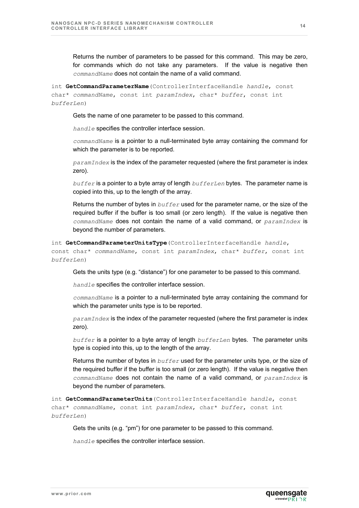Returns the number of parameters to be passed for this command. This may be zero, for commands which do not take any parameters. If the value is negative then *commandName* does not contain the name of a valid command.

int **GetCommandParameterName**(ControllerInterfaceHandle *handle*, const char\* *commandName*, const int *paramIndex*, char\* *buffer*, const int *bufferLen*)

Gets the name of one parameter to be passed to this command.

*handle* specifies the controller interface session.

*commandName* is a pointer to a null-terminated byte array containing the command for which the parameter is to be reported.

*paramIndex* is the index of the parameter requested (where the first parameter is index zero).

*buffer* is a pointer to a byte array of length *bufferLen* bytes. The parameter name is copied into this, up to the length of the array.

Returns the number of bytes in *buffer* used for the parameter name, or the size of the required buffer if the buffer is too small (or zero length). If the value is negative then *commandName* does not contain the name of a valid command, or *paramIndex* is beyond the number of parameters.

```
int GetCommandParameterUnitsType(ControllerInterfaceHandle handle, 
const char* commandName, const int paramIndex, char* buffer, const int 
bufferLen)
```
Gets the units type (e.g. "distance") for one parameter to be passed to this command.

*handle* specifies the controller interface session.

*commandName* is a pointer to a null-terminated byte array containing the command for which the parameter units type is to be reported.

*paramIndex* is the index of the parameter requested (where the first parameter is index zero).

*buffer* is a pointer to a byte array of length *bufferLen* bytes. The parameter units type is copied into this, up to the length of the array.

Returns the number of bytes in *buffer* used for the parameter units type, or the size of the required buffer if the buffer is too small (or zero length). If the value is negative then *commandName* does not contain the name of a valid command, or *paramIndex* is beyond the number of parameters.

int **GetCommandParameterUnits**(ControllerInterfaceHandle *handle*, const char\* *commandName*, const int *paramIndex*, char\* *buffer*, const int *bufferLen*)

Gets the units (e.g. "pm") for one parameter to be passed to this command.

*handle* specifies the controller interface session.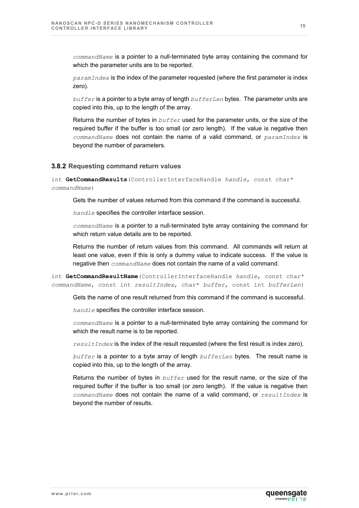*commandName* is a pointer to a null-terminated byte array containing the command for which the parameter units are to be reported.

*paramIndex* is the index of the parameter requested (where the first parameter is index zero).

*buffer* is a pointer to a byte array of length *bufferLen* bytes. The parameter units are copied into this, up to the length of the array.

Returns the number of bytes in *buffer* used for the parameter units, or the size of the required buffer if the buffer is too small (or zero length). If the value is negative then *commandName* does not contain the name of a valid command, or *paramIndex* is beyond the number of parameters.

#### <span id="page-14-0"></span>**3.8.2 Requesting command return values**

int **GetCommandResults**(ControllerInterfaceHandle *handle*, const char\* *commandName*)

Gets the number of values returned from this command if the command is successful.

*handle* specifies the controller interface session.

*commandName* is a pointer to a null-terminated byte array containing the command for which return value details are to be reported.

Returns the number of return values from this command. All commands will return at least one value, even if this is only a dummy value to indicate success. If the value is negative then *commandName* does not contain the name of a valid command.

int **GetCommandResultName**(ControllerInterfaceHandle *handle*, const char\* *commandName*, const int *resultIndex*, char\* *buffer*, const int *bufferLen*)

Gets the name of one result returned from this command if the command is successful.

*handle* specifies the controller interface session.

*commandName* is a pointer to a null-terminated byte array containing the command for which the result name is to be reported.

*resultIndex* is the index of the result requested (where the first result is index zero).

*buffer* is a pointer to a byte array of length *bufferLen* bytes. The result name is copied into this, up to the length of the array.

Returns the number of bytes in *buffer* used for the result name, or the size of the required buffer if the buffer is too small (or zero length). If the value is negative then *commandName* does not contain the name of a valid command, or *resultIndex* is beyond the number of results.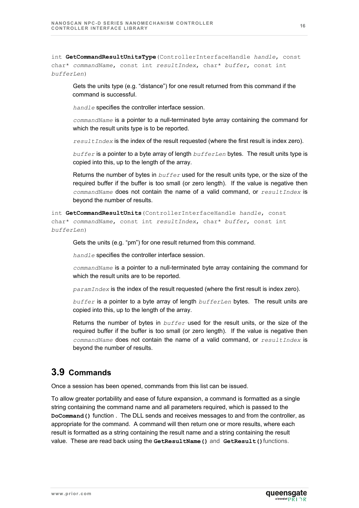int **GetCommandResultUnitsType**(ControllerInterfaceHandle *handle*, const char\* *commandName*, const int *resultIndex*, char\* *buffer*, const int *bufferLen*)

Gets the units type (e.g. "distance") for one result returned from this command if the command is successful.

*handle* specifies the controller interface session.

*commandName* is a pointer to a null-terminated byte array containing the command for which the result units type is to be reported.

*resultIndex* is the index of the result requested (where the first result is index zero).

*buffer* is a pointer to a byte array of length *bufferLen* bytes. The result units type is copied into this, up to the length of the array.

Returns the number of bytes in *buffer* used for the result units type, or the size of the required buffer if the buffer is too small (or zero length). If the value is negative then *commandName* does not contain the name of a valid command, or *resultIndex* is beyond the number of results.

int **GetCommandResultUnits**(ControllerInterfaceHandle *handle*, const char\* *commandName*, const int *resultIndex*, char\* *buffer*, const int *bufferLen*)

Gets the units (e.g. "pm") for one result returned from this command.

*handle* specifies the controller interface session.

*commandName* is a pointer to a null-terminated byte array containing the command for which the result units are to be reported.

*paramIndex* is the index of the result requested (where the first result is index zero).

*buffer* is a pointer to a byte array of length *bufferLen* bytes. The result units are copied into this, up to the length of the array.

Returns the number of bytes in *buffer* used for the result units, or the size of the required buffer if the buffer is too small (or zero length). If the value is negative then *commandName* does not contain the name of a valid command, or *resultIndex* is beyond the number of results.

### <span id="page-15-0"></span>**3.9 Commands**

Once a session has been opened, commands from this list can be issued.

To allow greater portability and ease of future expansion, a command is formatted as a single string containing the command name and all parameters required, which is passed to the **DoCommand()** function . The DLL sends and receives messages to and from the controller, as appropriate for the command. A command will then return one or more results, where each result is formatted as a string containing the result name and a string containing the result value. These are read back using the **GetResultName()** and **GetResult()**functions.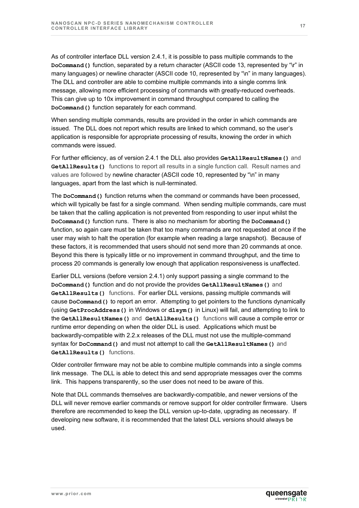As of controller interface DLL version 2.4.1, it is possible to pass multiple commands to the **DoCommand()** function, separated by a return character (ASCII code 13, represented by "\r" in many languages) or newline character (ASCII code 10, represented by "\n" in many languages). The DLL and controller are able to combine multiple commands into a single comms link message, allowing more efficient processing of commands with greatly-reduced overheads. This can give up to 10x improvement in command throughput compared to calling the **DoCommand()** function separately for each command.

When sending multiple commands, results are provided in the order in which commands are issued. The DLL does not report which results are linked to which command, so the user's application is responsible for appropriate processing of results, knowing the order in which commands were issued.

For further efficiency, as of version 2.4.1 the DLL also provides **GetAllResultNames()** and **GetAllResults()** functions to report all results in a single function call. Result names and values are followed by newline character (ASCII code 10, represented by "\n" in many languages, apart from the last which is null-terminated.

The **DoCommand()** function returns when the command or commands have been processed, which will typically be fast for a single command. When sending multiple commands, care must be taken that the calling application is not prevented from responding to user input whilst the **DoCommand()** function runs. There is also no mechanism for aborting the **DoCommand()** function, so again care must be taken that too many commands are not requested at once if the user may wish to halt the operation (for example when reading a large snapshot). Because of these factors, it is recommended that users should not send more than 20 commands at once. Beyond this there is typically little or no improvement in command throughput, and the time to process 20 commands is generally low enough that application responsiveness is unaffected.

Earlier DLL versions (before version 2.4.1) only support passing a single command to the **DoCommand()** function and do not provide the provides **GetAllResultNames()** and **GetAllResults()** functions. For earlier DLL versions, passing multiple commands will cause **DoCommand()** to report an error. Attempting to get pointers to the functions dynamically (using **GetProcAddress()** in Windows or **dlsym()** in Linux) will fail, and attempting to link to the **GetAllResultNames()** and **GetAllResults()** functions will cause a compile error or runtime error depending on when the older DLL is used. Applications which must be backwardly-compatible with 2.2.x releases of the DLL must not use the multiple-command syntax for **DoCommand()** and must not attempt to call the **GetAllResultNames()** and **GetAllResults()** functions.

Older controller firmware may not be able to combine multiple commands into a single comms link message. The DLL is able to detect this and send appropriate messages over the comms link. This happens transparently, so the user does not need to be aware of this.

Note that DLL commands themselves are backwardly-compatible, and newer versions of the DLL will never remove earlier commands or remove support for older controller firmware. Users therefore are recommended to keep the DLL version up-to-date, upgrading as necessary. If developing new software, it is recommended that the latest DLL versions should always be used.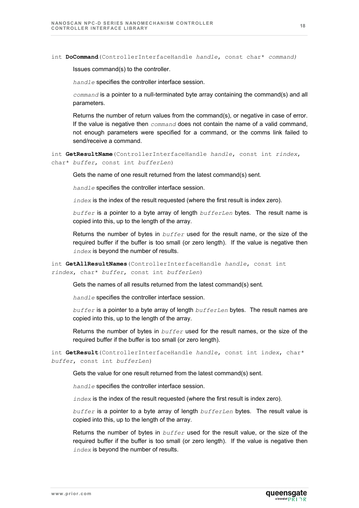int **DoCommand**(ControllerInterfaceHandle *handle*, const char\* *command)*

Issues command(s) to the controller.

*handle* specifies the controller interface session.

*command* is a pointer to a null-terminated byte array containing the command(s) and all parameters.

Returns the number of return values from the command(s), or negative in case of error. If the value is negative then *command* does not contain the name of a valid command, not enough parameters were specified for a command, or the comms link failed to send/receive a command.

```
int GetResultName(ControllerInterfaceHandle handle, const int rindex, 
char* buffer, const int bufferLen)
```
Gets the name of one result returned from the latest command(s) sent.

*handle* specifies the controller interface session.

*index* is the index of the result requested (where the first result is index zero).

*buffer* is a pointer to a byte array of length *bufferLen* bytes. The result name is copied into this, up to the length of the array.

Returns the number of bytes in *buffer* used for the result name, or the size of the required buffer if the buffer is too small (or zero length). If the value is negative then *index* is beyond the number of results.

int **GetAllResultNames**(ControllerInterfaceHandle *handle*, const int *rindex*, char\* *buffer*, const int *bufferLen*)

Gets the names of all results returned from the latest command(s) sent.

*handle* specifies the controller interface session.

*buffer* is a pointer to a byte array of length *bufferLen* bytes. The result names are copied into this, up to the length of the array.

Returns the number of bytes in *buffer* used for the result names, or the size of the required buffer if the buffer is too small (or zero length).

int **GetResult**(ControllerInterfaceHandle *handle*, const int i*ndex*, char\* *buffer*, const int *bufferLen*)

Gets the value for one result returned from the latest command(s) sent.

*handle* specifies the controller interface session.

*index* is the index of the result requested (where the first result is index zero).

*buffer* is a pointer to a byte array of length *bufferLen* bytes. The result value is copied into this, up to the length of the array.

Returns the number of bytes in *buffer* used for the result value, or the size of the required buffer if the buffer is too small (or zero length). If the value is negative then *index* is beyond the number of results.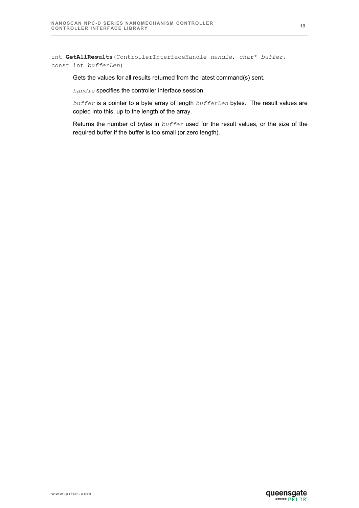int **GetAllResults**(ControllerInterfaceHandle *handle*, char\* *buffer*, const int *bufferLen*)

Gets the values for all results returned from the latest command(s) sent.

*handle* specifies the controller interface session.

*buffer* is a pointer to a byte array of length *bufferLen* bytes. The result values are copied into this, up to the length of the array.

Returns the number of bytes in *buffer* used for the result values, or the size of the required buffer if the buffer is too small (or zero length).